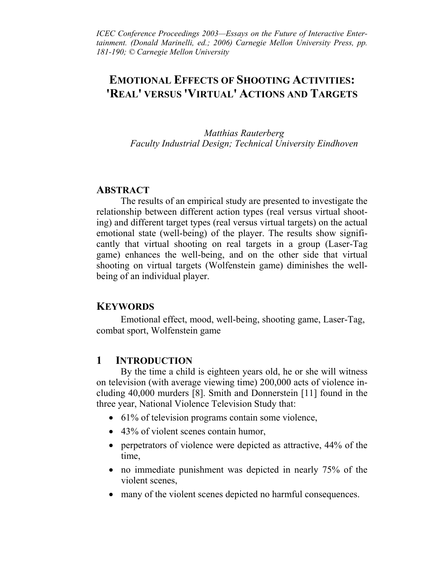*ICEC Conference Proceedings 2003—Essays on the Future of Interactive Enter*tainment. (Donald Marinelli, ed.; 2006) Carnegie Mellon University Press, pp. *181-190; © Carnegie Mellon University* 

# **EMOTIONAL EFFECTS OF SHOOTING ACTIVITIES: 'REAL' VERSUS 'VIRTUAL' ACTIONS AND TARGETS**

*Matthias Rauterberg Faculty Industrial Design; Technical University Eindhoven* 

#### **ABSTRACT**

The results of an empirical study are presented to investigate the relationship between different action types (real versus virtual shooting) and different target types (real versus virtual targets) on the actual emotional state (well-being) of the player. The results show significantly that virtual shooting on real targets in a group (Laser-Tag game) enhances the well-being, and on the other side that virtual shooting on virtual targets (Wolfenstein game) diminishes the wellbeing of an individual player.

#### **KEYWORDS**

Emotional effect, mood, well-being, shooting game, Laser-Tag, combat sport, Wolfenstein game

### **1 INTRODUCTION**

By the time a child is eighteen years old, he or she will witness on television (with average viewing time) 200,000 acts of violence including 40,000 murders [8]. Smith and Donnerstein [11] found in the three year, National Violence Television Study that:

- 61% of television programs contain some violence,
- 43% of violent scenes contain humor,
- perpetrators of violence were depicted as attractive, 44% of the time,
- no immediate punishment was depicted in nearly 75% of the violent scenes,
- many of the violent scenes depicted no harmful consequences.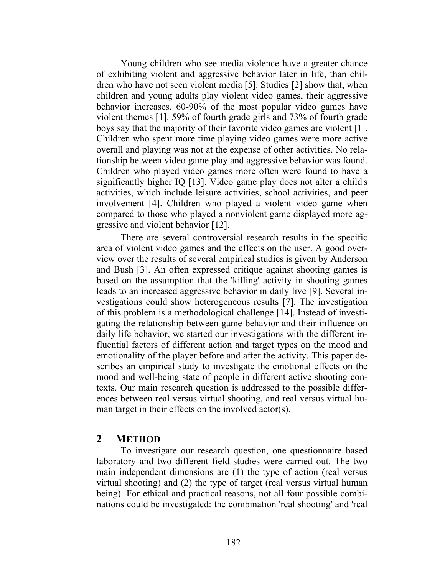Young children who see media violence have a greater chance of exhibiting violent and aggressive behavior later in life, than children who have not seen violent media [5]. Studies [2] show that, when children and young adults play violent video games, their aggressive behavior increases. 60-90% of the most popular video games have violent themes [1]. 59% of fourth grade girls and 73% of fourth grade boys say that the majority of their favorite video games are violent [1]. Children who spent more time playing video games were more active overall and playing was not at the expense of other activities. No relationship between video game play and aggressive behavior was found. Children who played video games more often were found to have a significantly higher IQ [13]. Video game play does not alter a child's activities, which include leisure activities, school activities, and peer involvement [4]. Children who played a violent video game when compared to those who played a nonviolent game displayed more aggressive and violent behavior [12].

There are several controversial research results in the specific area of violent video games and the effects on the user. A good overview over the results of several empirical studies is given by Anderson and Bush [3]. An often expressed critique against shooting games is based on the assumption that the 'killing' activity in shooting games leads to an increased aggressive behavior in daily live [9]. Several investigations could show heterogeneous results [7]. The investigation of this problem is a methodological challenge [14]. Instead of investigating the relationship between game behavior and their influence on daily life behavior, we started our investigations with the different influential factors of different action and target types on the mood and emotionality of the player before and after the activity. This paper describes an empirical study to investigate the emotional effects on the mood and well-being state of people in different active shooting contexts. Our main research question is addressed to the possible differences between real versus virtual shooting, and real versus virtual human target in their effects on the involved actor(s).

#### **2 METHOD**

To investigate our research question, one questionnaire based laboratory and two different field studies were carried out. The two main independent dimensions are (1) the type of action (real versus virtual shooting) and (2) the type of target (real versus virtual human being). For ethical and practical reasons, not all four possible combinations could be investigated: the combination 'real shooting' and 'real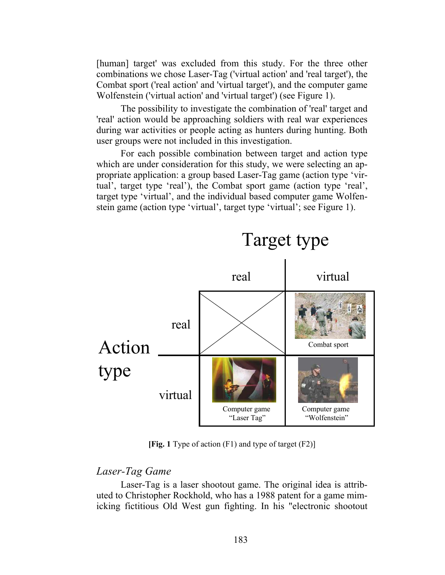[human] target' was excluded from this study. For the three other combinations we chose Laser-Tag ('virtual action' and 'real target'), the Combat sport ('real action' and 'virtual target'), and the computer game Wolfenstein ('virtual action' and 'virtual target') (see Figure 1).

The possibility to investigate the combination of 'real' target and 'real' action would be approaching soldiers with real war experiences during war activities or people acting as hunters during hunting. Both user groups were not included in this investigation.

For each possible combination between target and action type which are under consideration for this study, we were selecting an appropriate application: a group based Laser-Tag game (action type 'virtual', target type 'real'), the Combat sport game (action type 'real', target type 'virtual', and the individual based computer game Wolfenstein game (action type 'virtual', target type 'virtual'; see Figure 1).



**[Fig. 1** Type of action (F1) and type of target (F2)]

#### *Laser-Tag Game*

Laser-Tag is a laser shootout game. The original idea is attributed to Christopher Rockhold, who has a 1988 patent for a game mimicking fictitious Old West gun fighting. In his "electronic shootout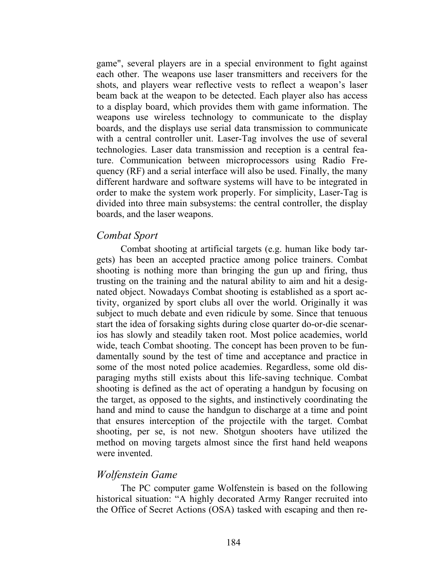game", several players are in a special environment to fight against each other. The weapons use laser transmitters and receivers for the shots, and players wear reflective vests to reflect a weapon's laser beam back at the weapon to be detected. Each player also has access to a display board, which provides them with game information. The weapons use wireless technology to communicate to the display boards, and the displays use serial data transmission to communicate with a central controller unit. Laser-Tag involves the use of several technologies. Laser data transmission and reception is a central feature. Communication between microprocessors using Radio Frequency (RF) and a serial interface will also be used. Finally, the many different hardware and software systems will have to be integrated in order to make the system work properly. For simplicity, Laser-Tag is divided into three main subsystems: the central controller, the display boards, and the laser weapons.

## *Combat Sport*

Combat shooting at artificial targets (e.g. human like body targets) has been an accepted practice among police trainers. Combat shooting is nothing more than bringing the gun up and firing, thus trusting on the training and the natural ability to aim and hit a designated object. Nowadays Combat shooting is established as a sport activity, organized by sport clubs all over the world. Originally it was subject to much debate and even ridicule by some. Since that tenuous start the idea of forsaking sights during close quarter do-or-die scenarios has slowly and steadily taken root. Most police academies, world wide, teach Combat shooting. The concept has been proven to be fundamentally sound by the test of time and acceptance and practice in some of the most noted police academies. Regardless, some old disparaging myths still exists about this life-saving technique. Combat shooting is defined as the act of operating a handgun by focusing on the target, as opposed to the sights, and instinctively coordinating the hand and mind to cause the handgun to discharge at a time and point that ensures interception of the projectile with the target. Combat shooting, per se, is not new. Shotgun shooters have utilized the method on moving targets almost since the first hand held weapons were invented.

## *Wolfenstein Game*

The PC computer game Wolfenstein is based on the following historical situation: "A highly decorated Army Ranger recruited into the Office of Secret Actions (OSA) tasked with escaping and then re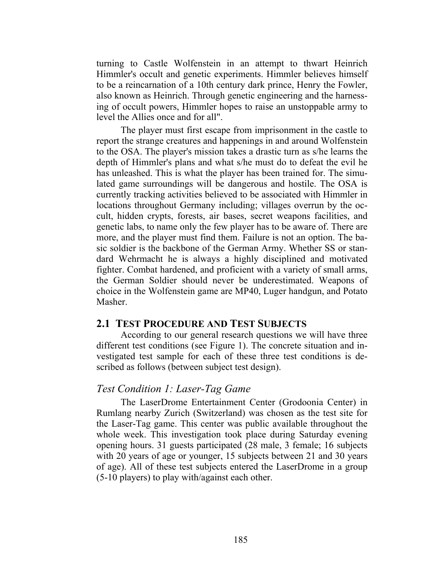turning to Castle Wolfenstein in an attempt to thwart Heinrich Himmler's occult and genetic experiments. Himmler believes himself to be a reincarnation of a 10th century dark prince, Henry the Fowler, also known as Heinrich. Through genetic engineering and the harnessing of occult powers, Himmler hopes to raise an unstoppable army to level the Allies once and for all".

The player must first escape from imprisonment in the castle to report the strange creatures and happenings in and around Wolfenstein to the OSA. The player's mission takes a drastic turn as s/he learns the depth of Himmler's plans and what s/he must do to defeat the evil he has unleashed. This is what the player has been trained for. The simulated game surroundings will be dangerous and hostile. The OSA is currently tracking activities believed to be associated with Himmler in locations throughout Germany including; villages overrun by the occult, hidden crypts, forests, air bases, secret weapons facilities, and genetic labs, to name only the few player has to be aware of. There are more, and the player must find them. Failure is not an option. The basic soldier is the backbone of the German Army. Whether SS or standard Wehrmacht he is always a highly disciplined and motivated fighter. Combat hardened, and proficient with a variety of small arms, the German Soldier should never be underestimated. Weapons of choice in the Wolfenstein game are MP40, Luger handgun, and Potato Masher.

#### **2.1 TEST PROCEDURE AND TEST SUBJECTS**

According to our general research questions we will have three different test conditions (see Figure 1). The concrete situation and investigated test sample for each of these three test conditions is described as follows (between subject test design).

### *Test Condition 1: Laser-Tag Game*

The LaserDrome Entertainment Center (Grodoonia Center) in Rumlang nearby Zurich (Switzerland) was chosen as the test site for the Laser-Tag game. This center was public available throughout the whole week. This investigation took place during Saturday evening opening hours. 31 guests participated (28 male, 3 female; 16 subjects with 20 years of age or younger, 15 subjects between 21 and 30 years of age). All of these test subjects entered the LaserDrome in a group (5-10 players) to play with/against each other.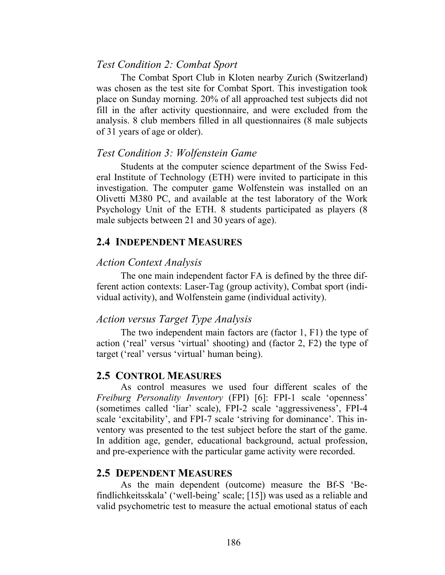## *Test Condition 2: Combat Sport*

The Combat Sport Club in Kloten nearby Zurich (Switzerland) was chosen as the test site for Combat Sport. This investigation took place on Sunday morning. 20% of all approached test subjects did not fill in the after activity questionnaire, and were excluded from the analysis. 8 club members filled in all questionnaires (8 male subjects of 31 years of age or older).

### *Test Condition 3: Wolfenstein Game*

Students at the computer science department of the Swiss Federal Institute of Technology (ETH) were invited to participate in this investigation. The computer game Wolfenstein was installed on an Olivetti M380 PC, and available at the test laboratory of the Work Psychology Unit of the ETH. 8 students participated as players (8 male subjects between 21 and 30 years of age).

### **2.4 INDEPENDENT MEASURES**

#### *Action Context Analysis*

The one main independent factor FA is defined by the three different action contexts: Laser-Tag (group activity), Combat sport (individual activity), and Wolfenstein game (individual activity).

## *Action versus Target Type Analysis*

The two independent main factors are (factor 1, F1) the type of action ('real' versus 'virtual' shooting) and (factor 2, F2) the type of target ('real' versus 'virtual' human being).

## **2.5 CONTROL MEASURES**

As control measures we used four different scales of the *Freiburg Personality Inventory* (FPI) [6]: FPI-1 scale 'openness' (sometimes called 'liar' scale), FPI-2 scale 'aggressiveness', FPI-4 scale 'excitability', and FPI-7 scale 'striving for dominance'. This inventory was presented to the test subject before the start of the game. In addition age, gender, educational background, actual profession, and pre-experience with the particular game activity were recorded.

#### **2.5 DEPENDENT MEASURES**

As the main dependent (outcome) measure the Bf-S 'Befindlichkeitsskala' ('well-being' scale; [15]) was used as a reliable and valid psychometric test to measure the actual emotional status of each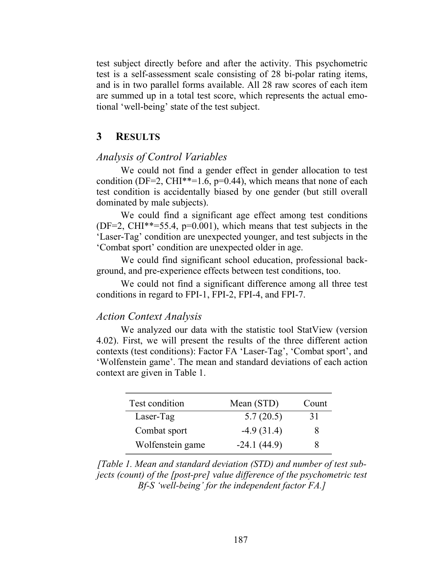test subject directly before and after the activity. This psychometric test is a self-assessment scale consisting of 28 bi-polar rating items, and is in two parallel forms available. All 28 raw scores of each item are summed up in a total test score, which represents the actual emotional 'well-being' state of the test subject.

## **3 RESULTS**

#### *Analysis of Control Variables*

We could not find a gender effect in gender allocation to test condition (DF=2, CHI<sup>\*\*</sup>=1.6, p=0.44), which means that none of each test condition is accidentally biased by one gender (but still overall dominated by male subjects).

We could find a significant age effect among test conditions (DF=2, CHI\*\*=55.4, p=0.001), which means that test subjects in the 'Laser-Tag' condition are unexpected younger, and test subjects in the 'Combat sport' condition are unexpected older in age.

We could find significant school education, professional background, and pre-experience effects between test conditions, too.

We could not find a significant difference among all three test conditions in regard to FPI-1, FPI-2, FPI-4, and FPI-7.

#### *Action Context Analysis*

We analyzed our data with the statistic tool StatView (version 4.02). First, we will present the results of the three different action contexts (test conditions): Factor FA 'Laser-Tag', 'Combat sport', and 'Wolfenstein game'. The mean and standard deviations of each action context are given in Table 1.

| Test condition   | Mean (STD)    | Count |
|------------------|---------------|-------|
| Laser-Tag        | 5.7(20.5)     | 31    |
| Combat sport     | $-4.9(31.4)$  | x     |
| Wolfenstein game | $-24.1(44.9)$ |       |

*[Table 1. Mean and standard deviation (STD) and number of test subjects (count) of the [post-pre] value difference of the psychometric test Bf-S 'well-being' for the independent factor FA.]*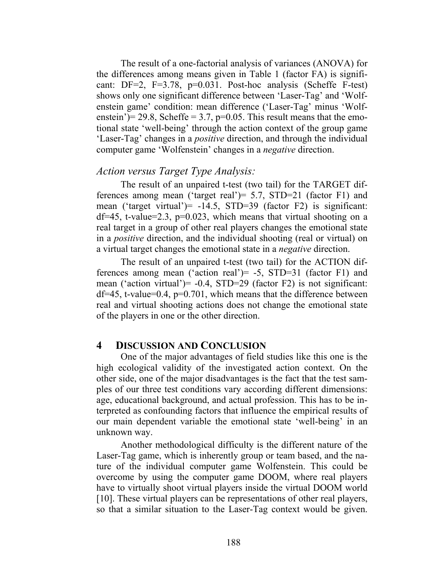The result of a one-factorial analysis of variances (ANOVA) for the differences among means given in Table 1 (factor FA) is significant: DF=2, F=3.78, p=0.031. Post-hoc analysis (Scheffe F-test) shows only one significant difference between 'Laser-Tag' and 'Wolfenstein game' condition: mean difference ('Laser-Tag' minus 'Wolfenstein')= 29.8, Scheffe = 3.7, p=0.05. This result means that the emotional state 'well-being' through the action context of the group game 'Laser-Tag' changes in a *positive* direction, and through the individual computer game 'Wolfenstein' changes in a *negative* direction.

## *Action versus Target Type Analysis:*

The result of an unpaired t-test (two tail) for the TARGET differences among mean ('target real')= 5.7, STD=21 (factor F1) and mean ('target virtual') = -14.5, STD=39 (factor F2) is significant:  $df=45$ , t-value=2.3, p=0.023, which means that virtual shooting on a real target in a group of other real players changes the emotional state in a *positive* direction, and the individual shooting (real or virtual) on a virtual target changes the emotional state in a *negative* direction.

The result of an unpaired t-test (two tail) for the ACTION differences among mean ('action real')= -5, STD=31 (factor F1) and mean ('action virtual')= -0.4, STD=29 (factor F2) is not significant:  $df=45$ , t-value=0.4, p=0.701, which means that the difference between real and virtual shooting actions does not change the emotional state of the players in one or the other direction.

### **4 DISCUSSION AND CONCLUSION**

One of the major advantages of field studies like this one is the high ecological validity of the investigated action context. On the other side, one of the major disadvantages is the fact that the test samples of our three test conditions vary according different dimensions: age, educational background, and actual profession. This has to be interpreted as confounding factors that influence the empirical results of our main dependent variable the emotional state 'well-being' in an unknown way.

Another methodological difficulty is the different nature of the Laser-Tag game, which is inherently group or team based, and the nature of the individual computer game Wolfenstein. This could be overcome by using the computer game DOOM, where real players have to virtually shoot virtual players inside the virtual DOOM world [10]. These virtual players can be representations of other real players, so that a similar situation to the Laser-Tag context would be given.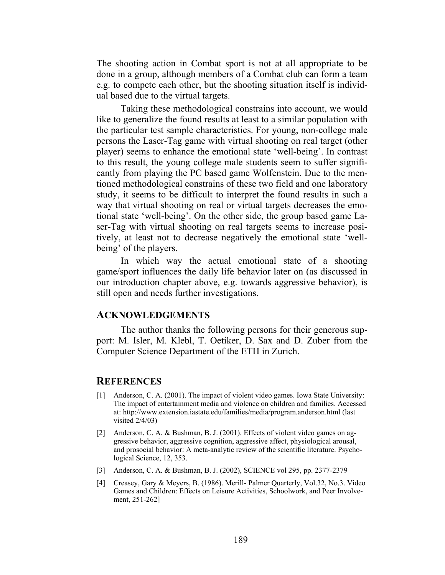The shooting action in Combat sport is not at all appropriate to be done in a group, although members of a Combat club can form a team e.g. to compete each other, but the shooting situation itself is individual based due to the virtual targets.

Taking these methodological constrains into account, we would like to generalize the found results at least to a similar population with the particular test sample characteristics. For young, non-college male persons the Laser-Tag game with virtual shooting on real target (other player) seems to enhance the emotional state 'well-being'. In contrast to this result, the young college male students seem to suffer significantly from playing the PC based game Wolfenstein. Due to the mentioned methodological constrains of these two field and one laboratory study, it seems to be difficult to interpret the found results in such a way that virtual shooting on real or virtual targets decreases the emotional state 'well-being'. On the other side, the group based game Laser-Tag with virtual shooting on real targets seems to increase positively, at least not to decrease negatively the emotional state 'wellbeing' of the players.

In which way the actual emotional state of a shooting game/sport influences the daily life behavior later on (as discussed in our introduction chapter above, e.g. towards aggressive behavior), is still open and needs further investigations.

#### **ACKNOWLEDGEMENTS**

The author thanks the following persons for their generous support: M. Isler, M. Klebl, T. Oetiker, D. Sax and D. Zuber from the Computer Science Department of the ETH in Zurich.

#### **REFERENCES**

- [1] Anderson, C. A. (2001). The impact of violent video games. Iowa State University: The impact of entertainment media and violence on children and families. Accessed at: http://www.extension.iastate.edu/families/media/program.anderson.html (last visited 2/4/03)
- [2] Anderson, C. A. & Bushman, B. J. (2001). Effects of violent video games on aggressive behavior, aggressive cognition, aggressive affect, physiological arousal, and prosocial behavior: A meta-analytic review of the scientific literature. Psychological Science, 12, 353.
- [3] Anderson, C. A. & Bushman, B. J. (2002), SCIENCE vol 295, pp. 2377-2379
- [4] Creasey, Gary & Meyers, B. (1986). Merill- Palmer Quarterly, Vol.32, No.3. Video Games and Children: Effects on Leisure Activities, Schoolwork, and Peer Involvement, 251-262]